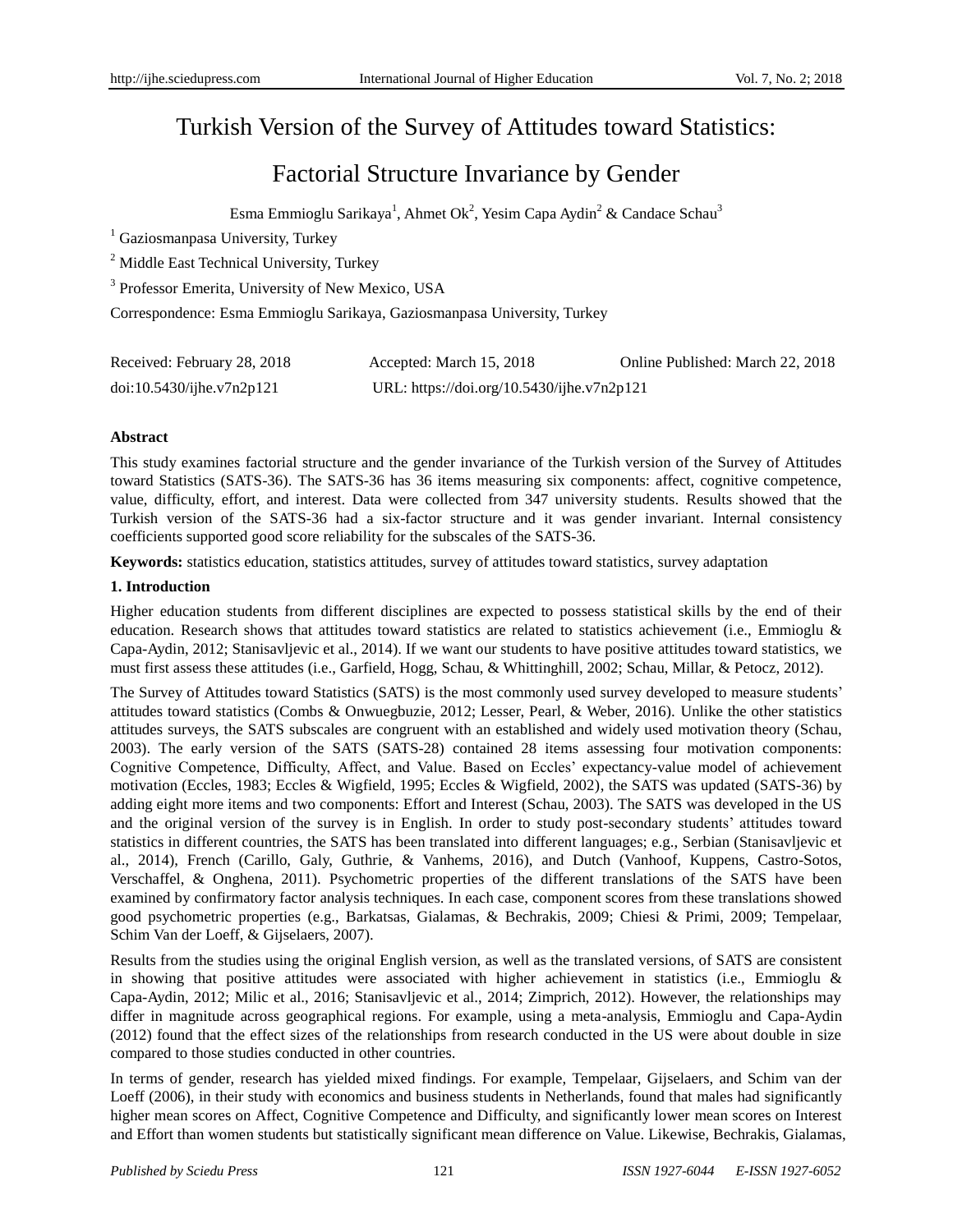# Turkish Version of the Survey of Attitudes toward Statistics:

# Factorial Structure Invariance by Gender

Esma Emmioglu Sarikaya<sup>1</sup>, Ahmet Ok<sup>2</sup>, Yesim Capa Aydin<sup>2</sup> & Candace Schau<sup>3</sup>

<sup>1</sup> Gaziosmanpasa University, Turkey

<sup>2</sup> Middle East Technical University, Turkey

<sup>3</sup> Professor Emerita, University of New Mexico, USA

Correspondence: Esma Emmioglu Sarikaya, Gaziosmanpasa University, Turkey

| Received: February 28, 2018 | Accepted: March 15, 2018                   | Online Published: March 22, 2018 |
|-----------------------------|--------------------------------------------|----------------------------------|
| doi:10.5430/ijhe.v7n2p121   | URL: https://doi.org/10.5430/ijhe.v7n2p121 |                                  |

## **Abstract**

This study examines factorial structure and the gender invariance of the Turkish version of the Survey of Attitudes toward Statistics (SATS-36). The SATS-36 has 36 items measuring six components: affect, cognitive competence, value, difficulty, effort, and interest. Data were collected from 347 university students. Results showed that the Turkish version of the SATS-36 had a six-factor structure and it was gender invariant. Internal consistency coefficients supported good score reliability for the subscales of the SATS-36.

**Keywords:** statistics education, statistics attitudes, survey of attitudes toward statistics, survey adaptation

## **1. Introduction**

Higher education students from different disciplines are expected to possess statistical skills by the end of their education. Research shows that attitudes toward statistics are related to statistics achievement (i.e., Emmioglu & Capa-Aydin, 2012; Stanisavljevic et al., 2014). If we want our students to have positive attitudes toward statistics, we must first assess these attitudes (i.e., Garfield, Hogg, Schau, & Whittinghill, 2002; Schau, Millar, & Petocz, 2012).

The Survey of Attitudes toward Statistics (SATS) is the most commonly used survey developed to measure students' attitudes toward statistics (Combs & Onwuegbuzie, 2012; Lesser, Pearl, & Weber, 2016). Unlike the other statistics attitudes surveys, the SATS subscales are congruent with an established and widely used motivation theory (Schau, 2003). The early version of the SATS (SATS-28) contained 28 items assessing four motivation components: Cognitive Competence, Difficulty, Affect, and Value. Based on Eccles' expectancy-value model of achievement motivation (Eccles, 1983; Eccles & Wigfield, 1995; Eccles & Wigfield, 2002), the SATS was updated (SATS-36) by adding eight more items and two components: Effort and Interest (Schau, 2003). The SATS was developed in the US and the original version of the survey is in English. In order to study post-secondary students' attitudes toward statistics in different countries, the SATS has been translated into different languages; e.g., Serbian (Stanisavljevic et al., 2014), French (Carillo, Galy, Guthrie, & Vanhems, 2016), and Dutch (Vanhoof, Kuppens, Castro-Sotos, Verschaffel, & Onghena, 2011). Psychometric properties of the different translations of the SATS have been examined by confirmatory factor analysis techniques. In each case, component scores from these translations showed good psychometric properties (e.g., Barkatsas, Gialamas, & Bechrakis, 2009; Chiesi & Primi, 2009; Tempelaar, Schim Van der Loeff, & Gijselaers, 2007).

Results from the studies using the original English version, as well as the translated versions, of SATS are consistent in showing that positive attitudes were associated with higher achievement in statistics (i.e., Emmioglu & Capa-Aydin, 2012; Milic et al., 2016; Stanisavljevic et al., 2014; Zimprich, 2012). However, the relationships may differ in magnitude across geographical regions. For example, using a meta-analysis, Emmioglu and Capa-Aydin (2012) found that the effect sizes of the relationships from research conducted in the US were about double in size compared to those studies conducted in other countries.

In terms of gender, research has yielded mixed findings. For example, Tempelaar, Gijselaers, and Schim van der Loeff (2006), in their study with economics and business students in Netherlands, found that males had significantly higher mean scores on Affect, Cognitive Competence and Difficulty, and significantly lower mean scores on Interest and Effort than women students but statistically significant mean difference on Value. Likewise, Bechrakis, Gialamas,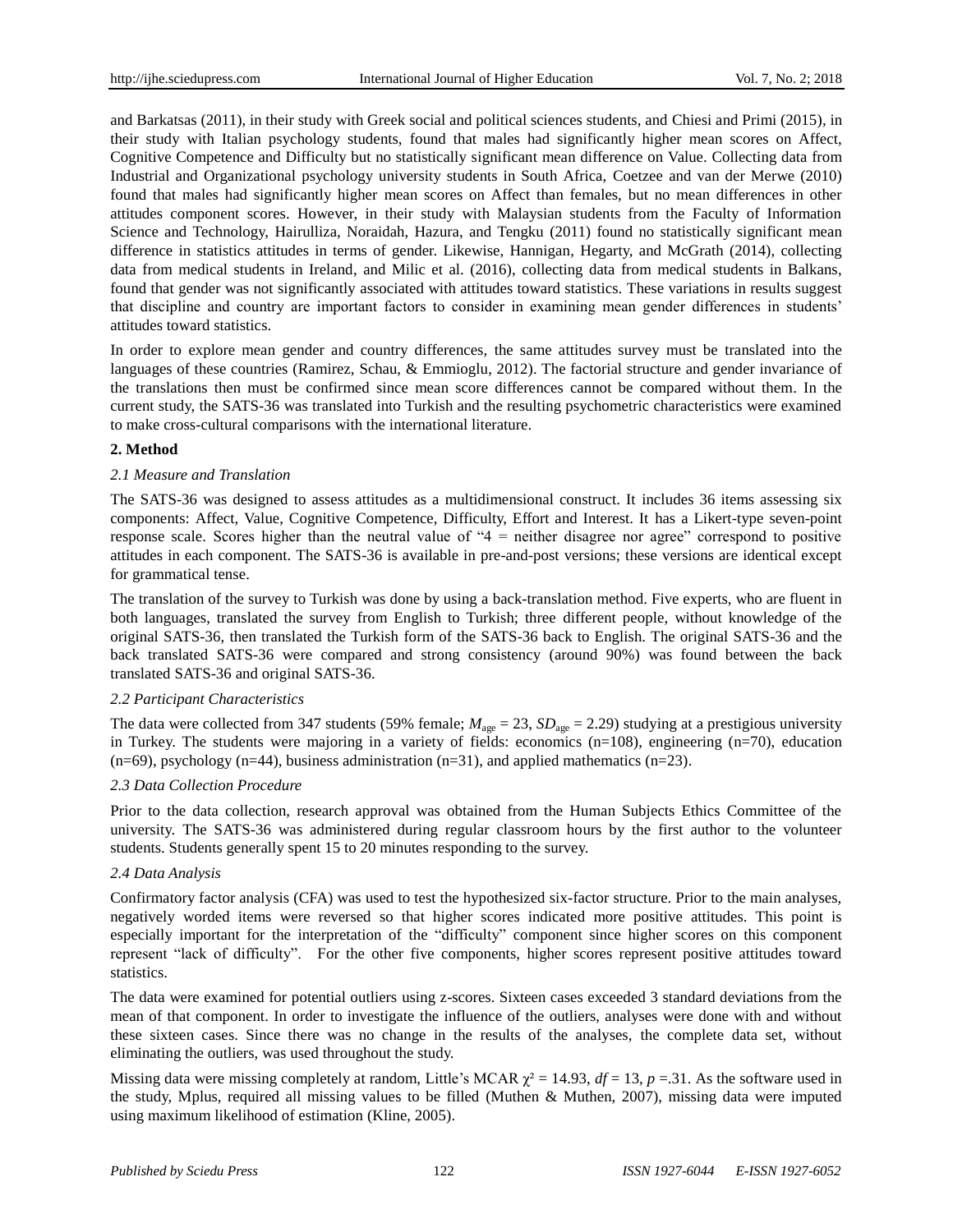and Barkatsas (2011), in their study with Greek social and political sciences students, and Chiesi and Primi (2015), in their study with Italian psychology students, found that males had significantly higher mean scores on Affect, Cognitive Competence and Difficulty but no statistically significant mean difference on Value. Collecting data from Industrial and Organizational psychology university students in South Africa, Coetzee and van der Merwe (2010) found that males had significantly higher mean scores on Affect than females, but no mean differences in other attitudes component scores. However, in their study with Malaysian students from the Faculty of Information Science and Technology, Hairulliza, Noraidah, Hazura, and Tengku (2011) found no statistically significant mean difference in statistics attitudes in terms of gender. Likewise, Hannigan, Hegarty, and McGrath (2014), collecting data from medical students in Ireland, and Milic et al. (2016), collecting data from medical students in Balkans, found that gender was not significantly associated with attitudes toward statistics. These variations in results suggest that discipline and country are important factors to consider in examining mean gender differences in students' attitudes toward statistics.

In order to explore mean gender and country differences, the same attitudes survey must be translated into the languages of these countries (Ramirez, Schau, & Emmioglu, 2012). The factorial structure and gender invariance of the translations then must be confirmed since mean score differences cannot be compared without them. In the current study, the SATS-36 was translated into Turkish and the resulting psychometric characteristics were examined to make cross-cultural comparisons with the international literature.

## **2. Method**

## *2.1 Measure and Translation*

The SATS-36 was designed to assess attitudes as a multidimensional construct. It includes 36 items assessing six components: Affect, Value, Cognitive Competence, Difficulty, Effort and Interest. It has a Likert-type seven-point response scale. Scores higher than the neutral value of "4 = neither disagree nor agree" correspond to positive attitudes in each component. The SATS-36 is available in pre-and-post versions; these versions are identical except for grammatical tense.

The translation of the survey to Turkish was done by using a back-translation method. Five experts, who are fluent in both languages, translated the survey from English to Turkish; three different people, without knowledge of the original SATS-36, then translated the Turkish form of the SATS-36 back to English. The original SATS-36 and the back translated SATS-36 were compared and strong consistency (around 90%) was found between the back translated SATS-36 and original SATS-36.

## *2.2 Participant Characteristics*

The data were collected from 347 students (59% female;  $M_{\text{age}} = 23$ ,  $SD_{\text{age}} = 2.29$ ) studying at a prestigious university in Turkey. The students were majoring in a variety of fields: economics  $(n=108)$ , engineering  $(n=70)$ , education  $(n=69)$ , psychology  $(n=44)$ , business administration  $(n=31)$ , and applied mathematics  $(n=23)$ .

## *2.3 Data Collection Procedure*

Prior to the data collection, research approval was obtained from the Human Subjects Ethics Committee of the university. The SATS-36 was administered during regular classroom hours by the first author to the volunteer students. Students generally spent 15 to 20 minutes responding to the survey.

## *2.4 Data Analysis*

Confirmatory factor analysis (CFA) was used to test the hypothesized six-factor structure. Prior to the main analyses, negatively worded items were reversed so that higher scores indicated more positive attitudes. This point is especially important for the interpretation of the "difficulty" component since higher scores on this component represent "lack of difficulty". For the other five components, higher scores represent positive attitudes toward statistics.

The data were examined for potential outliers using z-scores. Sixteen cases exceeded 3 standard deviations from the mean of that component. In order to investigate the influence of the outliers, analyses were done with and without these sixteen cases. Since there was no change in the results of the analyses, the complete data set, without eliminating the outliers, was used throughout the study.

Missing data were missing completely at random, Little's MCAR  $\chi^2 = 14.93$ ,  $df = 13$ ,  $p = 31$ . As the software used in the study, Mplus, required all missing values to be filled (Muthen & Muthen, 2007), missing data were imputed using maximum likelihood of estimation (Kline, 2005).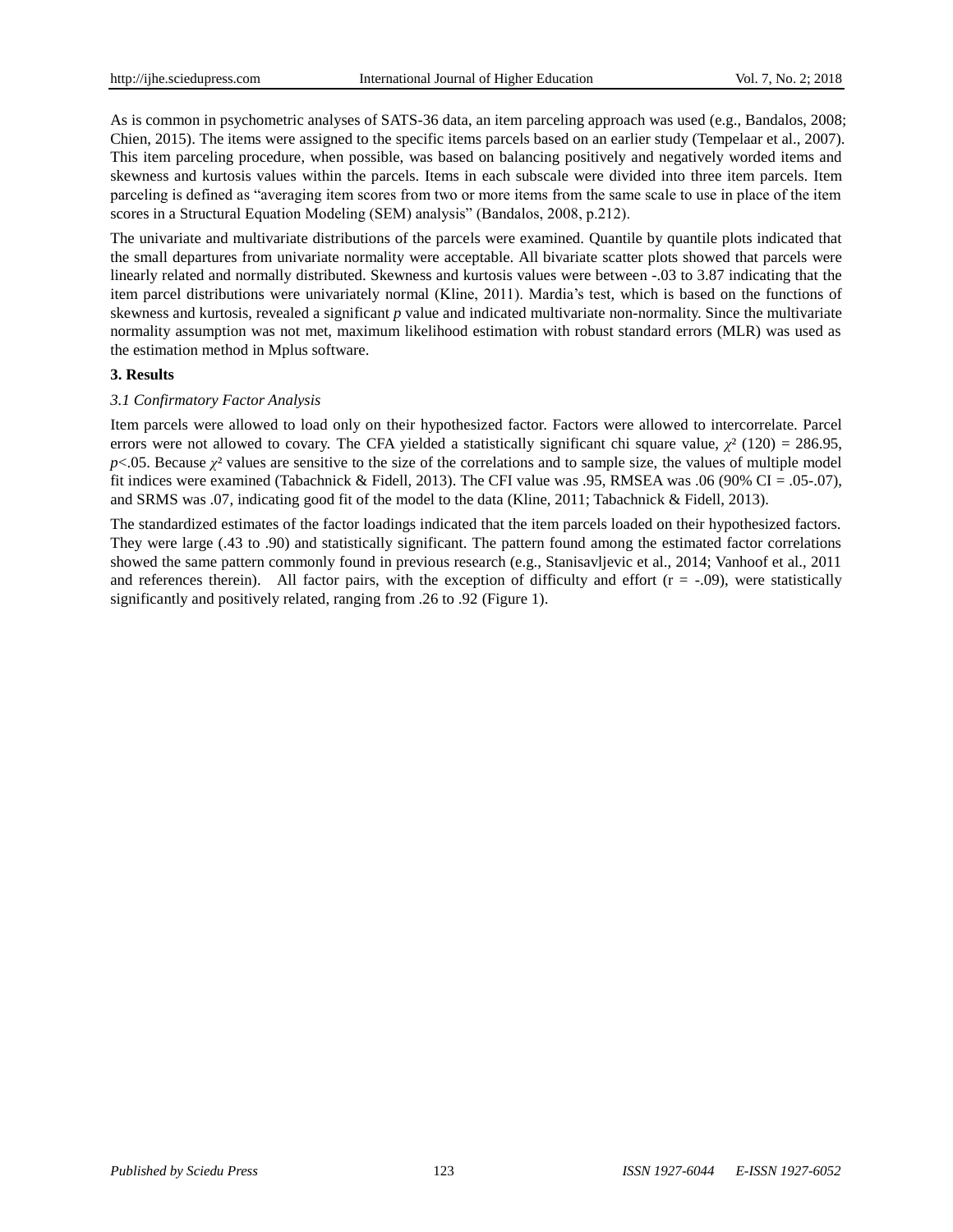As is common in psychometric analyses of SATS-36 data, an item parceling approach was used (e.g., Bandalos, 2008; Chien, 2015). The items were assigned to the specific items parcels based on an earlier study (Tempelaar et al., 2007). This item parceling procedure, when possible, was based on balancing positively and negatively worded items and skewness and kurtosis values within the parcels. Items in each subscale were divided into three item parcels. Item parceling is defined as "averaging item scores from two or more items from the same scale to use in place of the item scores in a Structural Equation Modeling (SEM) analysis" (Bandalos, 2008, p.212).

The univariate and multivariate distributions of the parcels were examined. Quantile by quantile plots indicated that the small departures from univariate normality were acceptable. All bivariate scatter plots showed that parcels were linearly related and normally distributed. Skewness and kurtosis values were between -.03 to 3.87 indicating that the item parcel distributions were univariately normal (Kline, 2011). Mardia's test, which is based on the functions of skewness and kurtosis, revealed a significant *p* value and indicated multivariate non-normality. Since the multivariate normality assumption was not met, maximum likelihood estimation with robust standard errors (MLR) was used as the estimation method in Mplus software.

## **3. Results**

## *3.1 Confirmatory Factor Analysis*

Item parcels were allowed to load only on their hypothesized factor. Factors were allowed to intercorrelate. Parcel errors were not allowed to covary. The CFA yielded a statistically significant chi square value,  $\gamma^2(120) = 286.95$ ,  $p$ <.05. Because  $\chi^2$  values are sensitive to the size of the correlations and to sample size, the values of multiple model fit indices were examined (Tabachnick & Fidell, 2013). The CFI value was .95, RMSEA was .06 (90% CI = .05-.07), and SRMS was .07, indicating good fit of the model to the data (Kline, 2011; Tabachnick & Fidell, 2013).

The standardized estimates of the factor loadings indicated that the item parcels loaded on their hypothesized factors. They were large (.43 to .90) and statistically significant. The pattern found among the estimated factor correlations showed the same pattern commonly found in previous research (e.g., Stanisavljevic et al., 2014; Vanhoof et al., 2011 and references therein). All factor pairs, with the exception of difficulty and effort  $(r = -0.09)$ , were statistically significantly and positively related, ranging from .26 to .92 (Figure 1).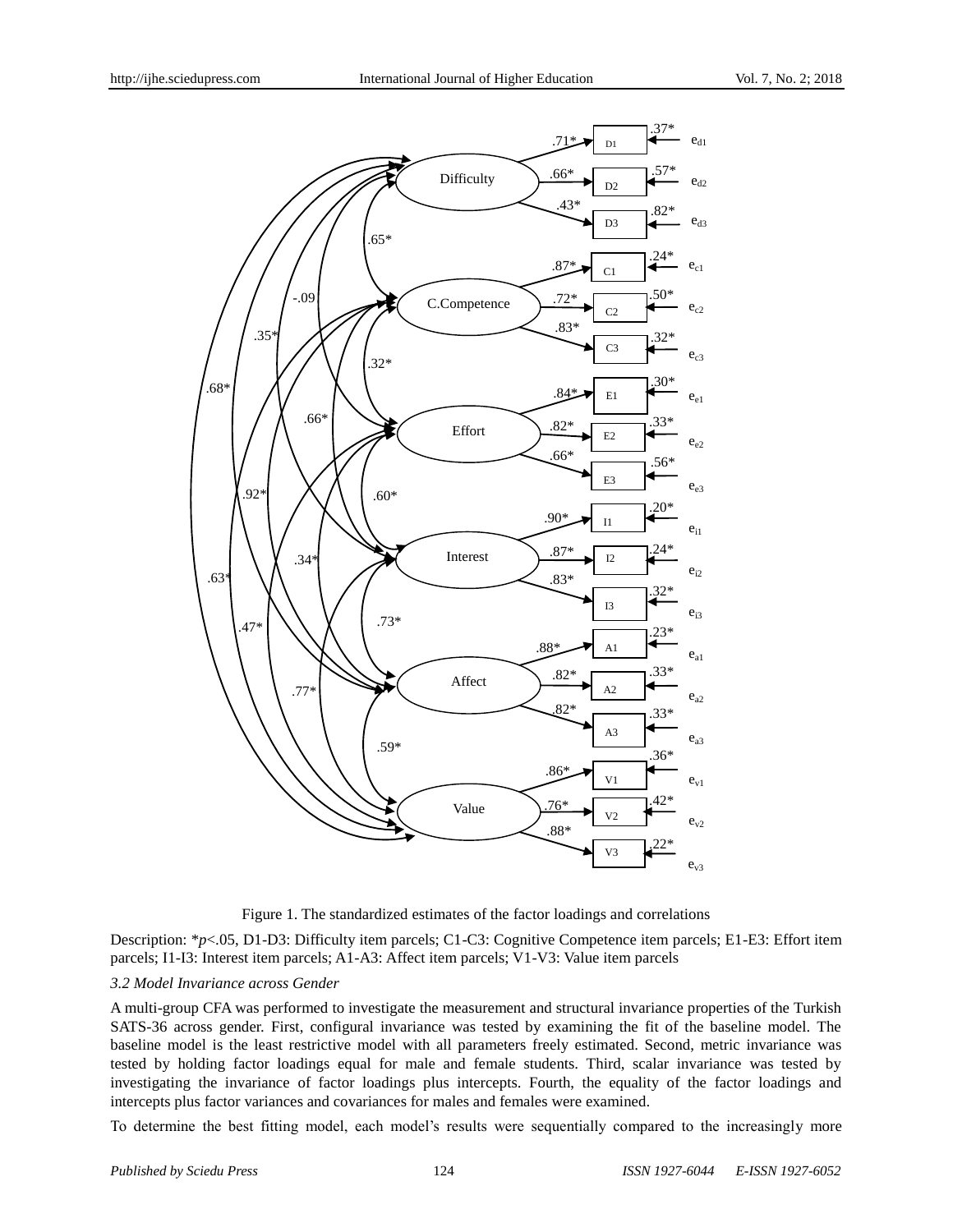

Figure 1. The standardized estimates of the factor loadings and correlations

Description: \**p*<.05, D1-D3: Difficulty item parcels; C1-C3: Cognitive Competence item parcels; E1-E3: Effort item parcels; I1-I3: Interest item parcels; A1-A3: Affect item parcels; V1-V3: Value item parcels

#### *3.2 Model Invariance across Gender*

A multi-group CFA was performed to investigate the measurement and structural invariance properties of the Turkish SATS-36 across gender. First, configural invariance was tested by examining the fit of the baseline model. The baseline model is the least restrictive model with all parameters freely estimated. Second, metric invariance was tested by holding factor loadings equal for male and female students. Third, scalar invariance was tested by investigating the invariance of factor loadings plus intercepts. Fourth, the equality of the factor loadings and intercepts plus factor variances and covariances for males and females were examined.

To determine the best fitting model, each model's results were sequentially compared to the increasingly more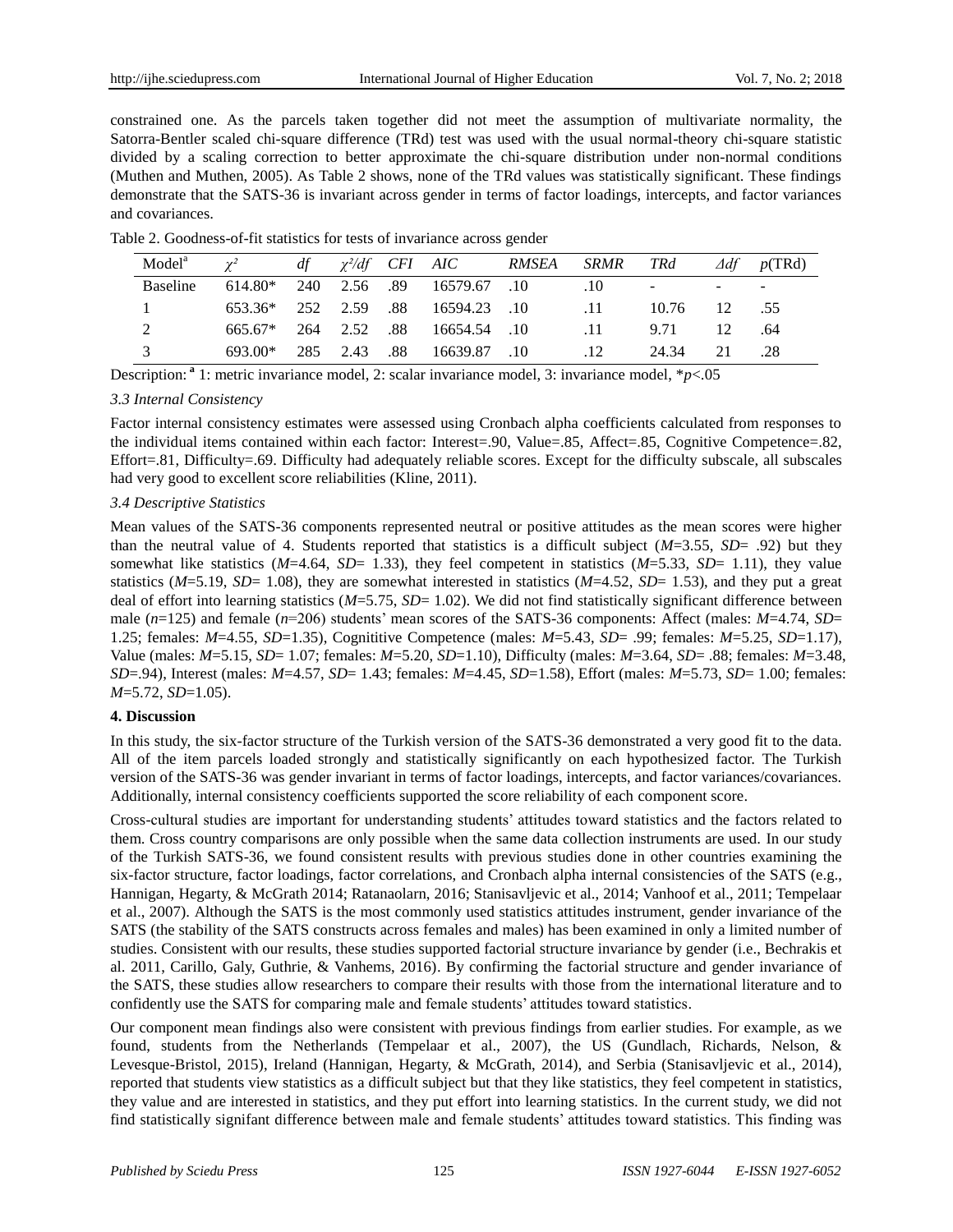constrained one. As the parcels taken together did not meet the assumption of multivariate normality, the Satorra-Bentler scaled chi-square difference (TRd) test was used with the usual normal-theory chi-square statistic divided by a scaling correction to better approximate the chi-square distribution under non-normal conditions (Muthen and Muthen, 2005). As Table 2 shows, none of the TRd values was statistically significant. These findings demonstrate that the SATS-36 is invariant across gender in terms of factor loadings, intercepts, and factor variances and covariances.

| Table 2. Goodness-of-fit statistics for tests of invariance across gender |  |
|---------------------------------------------------------------------------|--|
|---------------------------------------------------------------------------|--|

| Model <sup>a</sup> | $\gamma^2$ |  | $df \gamma^2/df$ CFI AIC RMSEA SRMR TRd            |                 |       |    | $\Delta df$ p(TRd) |
|--------------------|------------|--|----------------------------------------------------|-----------------|-------|----|--------------------|
| <b>Baseline</b>    |            |  | 614.80* 240 2.56 .89 16579.67 .10                  |                 |       |    |                    |
|                    |            |  | 653.36* 252 2.59 .88 16594.23 .10 .11 10.76 12 .55 |                 |       |    |                    |
|                    |            |  | 665.67* 264 2.52 .88 16654.54 .10                  | $\overline{11}$ | 9.71  | 12 | .64                |
| $\mathcal{R}$      |            |  | 693.00* 285 2.43 .88 16639.87 .10                  | .12             | 24.34 | 21 | .28                |

Description: **<sup>a</sup>** 1: metric invariance model, 2: scalar invariance model, 3: invariance model, \**p*<.05

## *3.3 Internal Consistency*

Factor internal consistency estimates were assessed using Cronbach alpha coefficients calculated from responses to the individual items contained within each factor: Interest=.90, Value=.85, Affect=.85, Cognitive Competence=.82, Effort=.81, Difficulty=.69. Difficulty had adequately reliable scores. Except for the difficulty subscale, all subscales had very good to excellent score reliabilities (Kline, 2011).

## *3.4 Descriptive Statistics*

Mean values of the SATS-36 components represented neutral or positive attitudes as the mean scores were higher than the neutral value of 4. Students reported that statistics is a difficult subject (*M*=3.55, *SD*= .92) but they somewhat like statistics ( $M=4.64$ ,  $SD= 1.33$ ), they feel competent in statistics ( $M=5.33$ ,  $SD= 1.11$ ), they value statistics  $(M=5.19, SD=1.08)$ , they are somewhat interested in statistics  $(M=4.52, SD=1.53)$ , and they put a great deal of effort into learning statistics (*M*=5.75, *SD*= 1.02). We did not find statistically significant difference between male (*n*=125) and female (*n*=206) students' mean scores of the SATS-36 components: Affect (males: *M*=4.74, *SD*= 1.25; females: *M*=4.55, *SD*=1.35), Cognititive Competence (males: *M*=5.43, *SD*= .99; females: *M*=5.25, *SD*=1.17), Value (males: *M*=5.15, *SD*= 1.07; females: *M*=5.20, *SD*=1.10), Difficulty (males: *M*=3.64, *SD*= .88; females: *M*=3.48, *SD*=.94), Interest (males: *M*=4.57, *SD*= 1.43; females: *M*=4.45, *SD*=1.58), Effort (males: *M*=5.73, *SD*= 1.00; females: *M*=5.72, *SD*=1.05).

## **4. Discussion**

In this study, the six-factor structure of the Turkish version of the SATS-36 demonstrated a very good fit to the data. All of the item parcels loaded strongly and statistically significantly on each hypothesized factor. The Turkish version of the SATS-36 was gender invariant in terms of factor loadings, intercepts, and factor variances/covariances. Additionally, internal consistency coefficients supported the score reliability of each component score.

Cross-cultural studies are important for understanding students' attitudes toward statistics and the factors related to them. Cross country comparisons are only possible when the same data collection instruments are used. In our study of the Turkish SATS-36, we found consistent results with previous studies done in other countries examining the six-factor structure, factor loadings, factor correlations, and Cronbach alpha internal consistencies of the SATS (e.g., Hannigan, Hegarty, & McGrath 2014; Ratanaolarn, 2016; Stanisavljevic et al., 2014; Vanhoof et al., 2011; Tempelaar et al., 2007). Although the SATS is the most commonly used statistics attitudes instrument, gender invariance of the SATS (the stability of the SATS constructs across females and males) has been examined in only a limited number of studies. Consistent with our results, these studies supported factorial structure invariance by gender (i.e., Bechrakis et al. 2011, Carillo, Galy, Guthrie, & Vanhems, 2016). By confirming the factorial structure and gender invariance of the SATS, these studies allow researchers to compare their results with those from the international literature and to confidently use the SATS for comparing male and female students' attitudes toward statistics.

Our component mean findings also were consistent with previous findings from earlier studies. For example, as we found, students from the Netherlands (Tempelaar et al., 2007), the US (Gundlach, Richards, Nelson, & Levesque-Bristol, 2015), Ireland (Hannigan, Hegarty, & McGrath, 2014), and Serbia (Stanisavljevic et al., 2014), reported that students view statistics as a difficult subject but that they like statistics, they feel competent in statistics, they value and are interested in statistics, and they put effort into learning statistics. In the current study, we did not find statistically signifant difference between male and female students' attitudes toward statistics. This finding was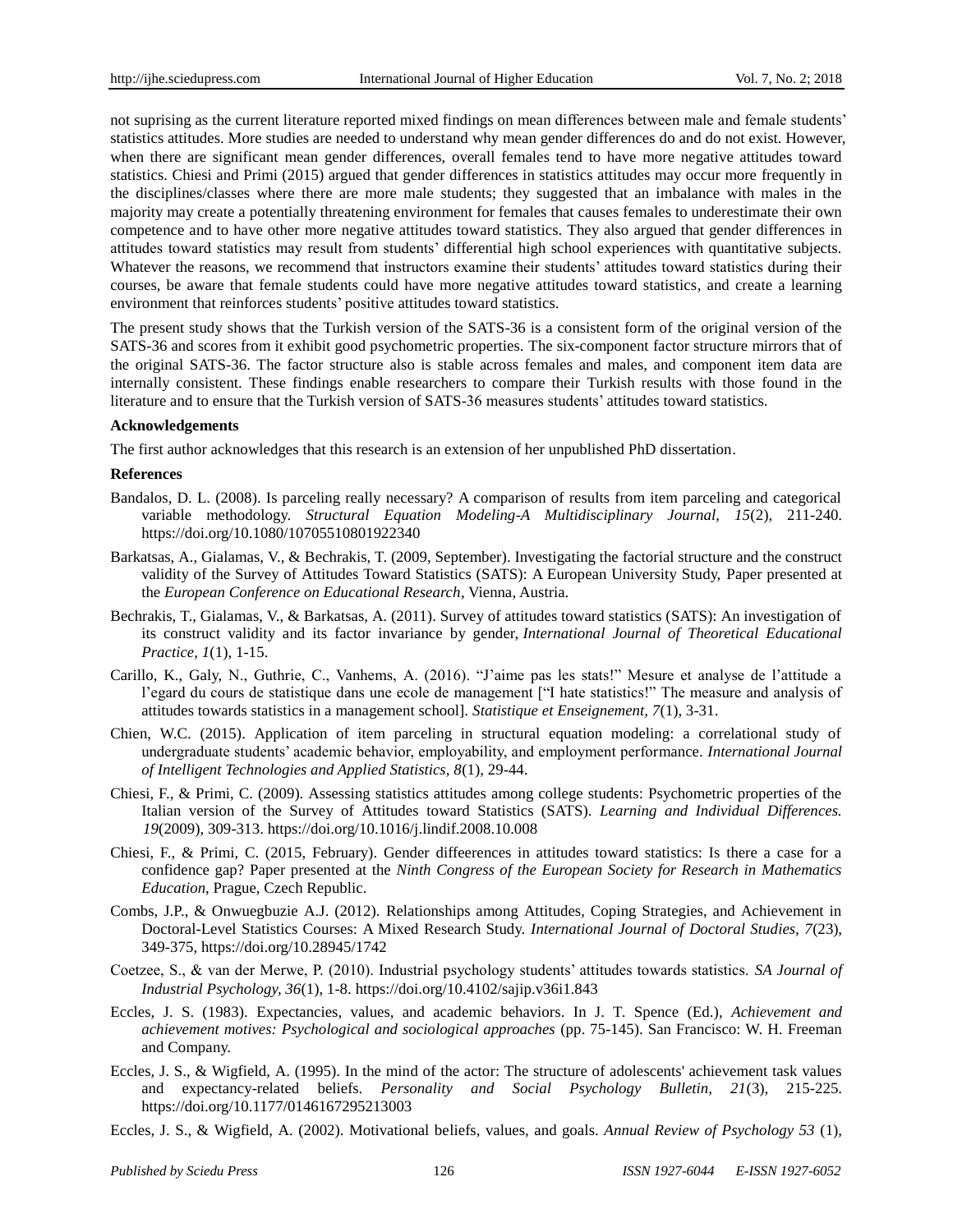not suprising as the current literature reported mixed findings on mean differences between male and female students' statistics attitudes. More studies are needed to understand why mean gender differences do and do not exist. However, when there are significant mean gender differences, overall females tend to have more negative attitudes toward statistics. Chiesi and Primi (2015) argued that gender differences in statistics attitudes may occur more frequently in the disciplines/classes where there are more male students; they suggested that an imbalance with males in the majority may create a potentially threatening environment for females that causes females to underestimate their own competence and to have other more negative attitudes toward statistics. They also argued that gender differences in attitudes toward statistics may result from students' differential high school experiences with quantitative subjects. Whatever the reasons, we recommend that instructors examine their students' attitudes toward statistics during their courses, be aware that female students could have more negative attitudes toward statistics, and create a learning environment that reinforces students' positive attitudes toward statistics.

The present study shows that the Turkish version of the SATS-36 is a consistent form of the original version of the SATS-36 and scores from it exhibit good psychometric properties. The six-component factor structure mirrors that of the original SATS-36. The factor structure also is stable across females and males, and component item data are internally consistent. These findings enable researchers to compare their Turkish results with those found in the literature and to ensure that the Turkish version of SATS-36 measures students' attitudes toward statistics.

#### **Acknowledgements**

The first author acknowledges that this research is an extension of her unpublished PhD dissertation.

## **References**

- Bandalos, D. L. (2008). Is parceling really necessary? A comparison of results from item parceling and categorical variable methodology. *Structural Equation Modeling-A Multidisciplinary Journal, 15*(2), 211-240. https://doi.org/10.1080/10705510801922340
- Barkatsas, A., Gialamas, V., & Bechrakis, T. (2009, September). Investigating the factorial structure and the construct validity of the Survey of Attitudes Toward Statistics (SATS): A European University Study, Paper presented at the *European Conference on Educational Research*, Vienna, Austria.
- Bechrakis, T., Gialamas, V., & Barkatsas, A. (2011). Survey of attitudes toward statistics (SATS): An investigation of its construct validity and its factor invariance by gender, *International Journal of Theoretical Educational Practice*, *1*(1), 1-15.
- Carillo, K., Galy, N., Guthrie, C., Vanhems, A. (2016). "J'aime pas les stats!" Mesure et analyse de l'attitude a l'egard du cours de statistique dans une ecole de management ["I hate statistics!" The measure and analysis of attitudes towards statistics in a management school]. *Statistique et Enseignement, 7*(1), 3-31.
- Chien, W.C. (2015). Application of item parceling in structural equation modeling: a correlational study of undergraduate students' academic behavior, employability, and employment performance. *International Journal of Intelligent Technologies and Applied Statistics, 8*(1), 29-44.
- Chiesi, F., & Primi, C. (2009). Assessing statistics attitudes among college students: Psychometric properties of the Italian version of the Survey of Attitudes toward Statistics (SATS). *Learning and Individual Differences. 19*(2009), 309-313.<https://doi.org/10.1016/j.lindif.2008.10.008>
- Chiesi, F., & Primi, C. (2015, February). Gender diffeerences in attitudes toward statistics: Is there a case for a confidence gap? Paper presented at the *Ninth Congress of the European Society for Research in Mathematics Education*, Prague, Czech Republic.
- Combs, J.P., & Onwuegbuzie A.J. (2012). Relationships among Attitudes, Coping Strategies, and Achievement in Doctoral-Level Statistics Courses: A Mixed Research Study. *International Journal of Doctoral Studies, 7*(23), 349-375,<https://doi.org/10.28945/1742>
- Coetzee, S., & van der Merwe, P. (2010). Industrial psychology students' attitudes towards statistics. *SA Journal of Industrial Psychology, 36*(1), 1-8. https://doi.org/10.4102/sajip.v36i1.843
- Eccles, J. S. (1983). Expectancies, values, and academic behaviors. In J. T. Spence (Ed.), *Achievement and achievement motives: Psychological and sociological approaches* (pp. 75-145). San Francisco: W. H. Freeman and Company.
- Eccles, J. S., & Wigfield, A. (1995). In the mind of the actor: The structure of adolescents' achievement task values and expectancy-related beliefs. *Personality and Social Psychology Bulletin, 21*(3), 215-225. https://doi.org/10.1177/0146167295213003
- Eccles, J. S., & Wigfield, A. (2002). Motivational beliefs, values, and goals. *Annual Review of Psychology 53* (1),